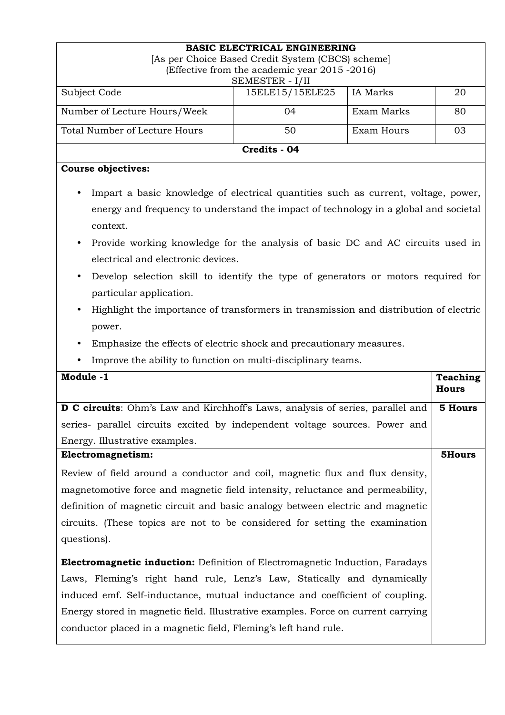| <b>BASIC ELECTRICAL ENGINEERING</b><br>[As per Choice Based Credit System (CBCS) scheme]<br>(Effective from the academic year 2015 -2016) |                  |            |    |  |  |  |  |
|-------------------------------------------------------------------------------------------------------------------------------------------|------------------|------------|----|--|--|--|--|
| SEMESTER - I/II                                                                                                                           |                  |            |    |  |  |  |  |
| Subject Code                                                                                                                              | 15ELE15/15ELE25  | IA Marks   | 20 |  |  |  |  |
| Number of Lecture Hours/Week                                                                                                              | Exam Marks<br>04 |            | 80 |  |  |  |  |
| Total Number of Lecture Hours                                                                                                             | 50               | Exam Hours | 03 |  |  |  |  |
| Credits - 04                                                                                                                              |                  |            |    |  |  |  |  |

## **Course objectives:**

- Impart a basic knowledge of electrical quantities such as current, voltage, power, energy and frequency to understand the impact of technology in a global and societal context.
- Provide working knowledge for the analysis of basic DC and AC circuits used in electrical and electronic devices.
- Develop selection skill to identify the type of generators or motors required for particular application.
- Highlight the importance of transformers in transmission and distribution of electric power.
- Emphasize the effects of electric shock and precautionary measures.
- Improve the ability to function on multi-disciplinary teams.

| Module -1                                                                              |                 |  |
|----------------------------------------------------------------------------------------|-----------------|--|
|                                                                                        | <b>Teaching</b> |  |
|                                                                                        | <b>Hours</b>    |  |
| <b>D C circuits</b> : Ohm's Law and Kirchhoff's Laws, analysis of series, parallel and | 5 Hours         |  |
| series- parallel circuits excited by independent voltage sources. Power and            |                 |  |
| Energy. Illustrative examples.                                                         |                 |  |
| Electromagnetism:                                                                      | 5Hours          |  |
| Review of field around a conductor and coil, magnetic flux and flux density,           |                 |  |
| magnetomotive force and magnetic field intensity, reluctance and permeability,         |                 |  |
| definition of magnetic circuit and basic analogy between electric and magnetic         |                 |  |
| circuits. (These topics are not to be considered for setting the examination           |                 |  |
| questions).                                                                            |                 |  |
| <b>Electromagnetic induction:</b> Definition of Electromagnetic Induction, Faradays    |                 |  |
| Laws, Fleming's right hand rule, Lenz's Law, Statically and dynamically                |                 |  |
| induced emf. Self-inductance, mutual inductance and coefficient of coupling.           |                 |  |
| Energy stored in magnetic field. Illustrative examples. Force on current carrying      |                 |  |
| conductor placed in a magnetic field, Fleming's left hand rule.                        |                 |  |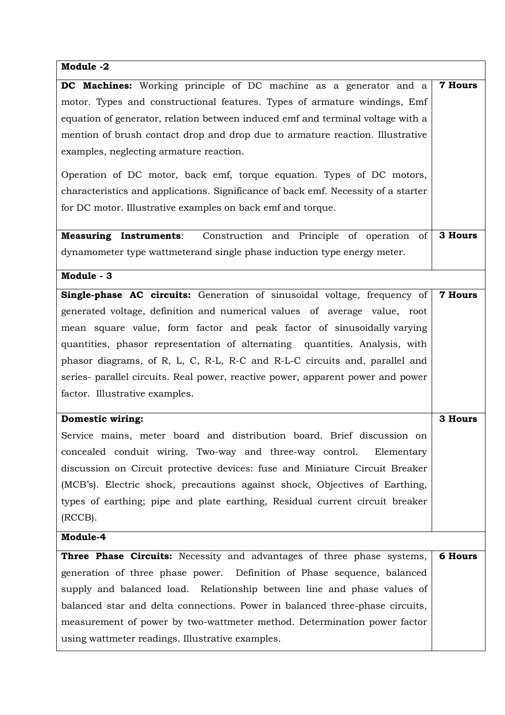## **Module -2**

| DC Machines: Working principle of DC machine as a generator and a                  | <b>7 Hours</b> |  |  |
|------------------------------------------------------------------------------------|----------------|--|--|
| motor. Types and constructional features. Types of armature windings, Emf          |                |  |  |
| equation of generator, relation between induced emf and terminal voltage with a    |                |  |  |
| mention of brush contact drop and drop due to armature reaction. Illustrative      |                |  |  |
| examples, neglecting armature reaction.                                            |                |  |  |
|                                                                                    |                |  |  |
| Operation of DC motor, back emf, torque equation. Types of DC motors,              |                |  |  |
| characteristics and applications. Significance of back emf. Necessity of a starter |                |  |  |
| for DC motor. Illustrative examples on back emf and torque.                        |                |  |  |
| <b>Measuring Instruments:</b> Construction and Principle of operation of           | 3 Hours        |  |  |
| dynamometer type wattmeterand single phase induction type energy meter.            |                |  |  |
|                                                                                    |                |  |  |
| Module - 3                                                                         |                |  |  |
| <b>Single-phase AC circuits:</b> Generation of sinusoidal voltage, frequency of    | <b>7 Hours</b> |  |  |
| generated voltage, definition and numerical values of average value, root          |                |  |  |
| mean square value, form factor and peak factor of sinusoidally varying             |                |  |  |
| quantities, phasor representation of alternating quantities. Analysis, with        |                |  |  |
| phasor diagrams, of R, L, C, R-L, R-C and R-L-C circuits and, parallel and         |                |  |  |
| series- parallel circuits. Real power, reactive power, apparent power and power    |                |  |  |
| factor. Illustrative examples.                                                     |                |  |  |
|                                                                                    |                |  |  |
| <b>Domestic wiring:</b>                                                            | 3 Hours        |  |  |
| Service mains, meter board and distribution board. Brief discussion on             |                |  |  |
| concealed conduit wiring. Two-way and three-way control. Elementary                |                |  |  |
| discussion on Circuit protective devices: fuse and Miniature Circuit Breaker       |                |  |  |
| (MCB's). Electric shock, precautions against shock, Objectives of Earthing,        |                |  |  |
| types of earthing; pipe and plate earthing, Residual current circuit breaker       |                |  |  |
| (RCCB).                                                                            |                |  |  |
| Module-4                                                                           |                |  |  |
| Three Phase Circuits: Necessity and advantages of three phase systems,             | <b>6 Hours</b> |  |  |
| generation of three phase power. Definition of Phase sequence, balanced            |                |  |  |
| supply and balanced load. Relationship between line and phase values of            |                |  |  |
| balanced star and delta connections. Power in balanced three-phase circuits,       |                |  |  |
| measurement of power by two-wattmeter method. Determination power factor           |                |  |  |
| using wattmeter readings. Illustrative examples.                                   |                |  |  |
|                                                                                    |                |  |  |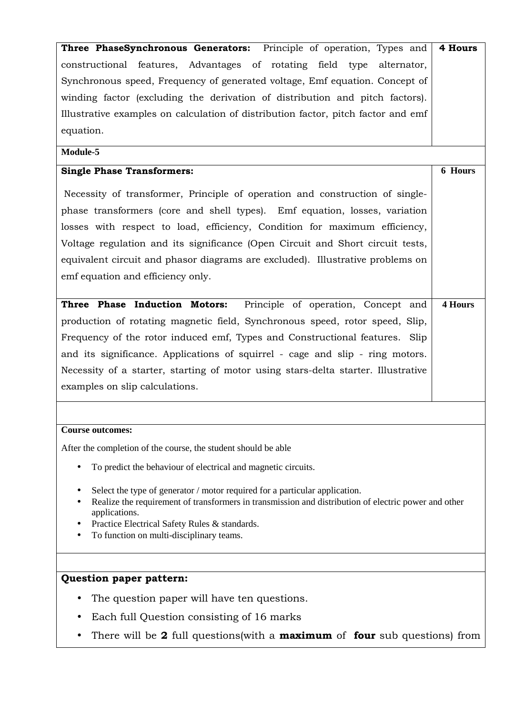| constructional features, Advantages of rotating field<br>type<br>alternator,      | 4 Hours        |  |  |
|-----------------------------------------------------------------------------------|----------------|--|--|
|                                                                                   |                |  |  |
| Synchronous speed, Frequency of generated voltage, Emf equation. Concept of       |                |  |  |
| winding factor (excluding the derivation of distribution and pitch factors).      |                |  |  |
| Illustrative examples on calculation of distribution factor, pitch factor and emf |                |  |  |
| equation.                                                                         |                |  |  |
| Module-5                                                                          |                |  |  |
| <b>Single Phase Transformers:</b>                                                 | 6 Hours        |  |  |
| Necessity of transformer, Principle of operation and construction of single-      |                |  |  |
| phase transformers (core and shell types). Emf equation, losses, variation        |                |  |  |
| losses with respect to load, efficiency, Condition for maximum efficiency,        |                |  |  |
| Voltage regulation and its significance (Open Circuit and Short circuit tests,    |                |  |  |
| equivalent circuit and phasor diagrams are excluded). Illustrative problems on    |                |  |  |
| emf equation and efficiency only.                                                 |                |  |  |
|                                                                                   |                |  |  |
| Three Phase Induction Motors: Principle of operation, Concept and                 | <b>4 Hours</b> |  |  |
| production of rotating magnetic field, Synchronous speed, rotor speed, Slip,      |                |  |  |
| Frequency of the rotor induced emf, Types and Constructional features. Slip       |                |  |  |
| and its significance. Applications of squirrel - cage and slip - ring motors.     |                |  |  |
| Necessity of a starter, starting of motor using stars-delta starter. Illustrative |                |  |  |
| examples on slip calculations.                                                    |                |  |  |
|                                                                                   |                |  |  |
|                                                                                   |                |  |  |
| <b>Course outcomes:</b>                                                           |                |  |  |
| After the completion of the course, the student should be able                    |                |  |  |
| To predict the behaviour of electrical and magnetic circuits.<br>٠                |                |  |  |

## **Question paper pattern:**

- The question paper will have ten questions.
- Each full Question consisting of 16 marks
- There will be **2** full questions(with a **maximum** of **four** sub questions) from